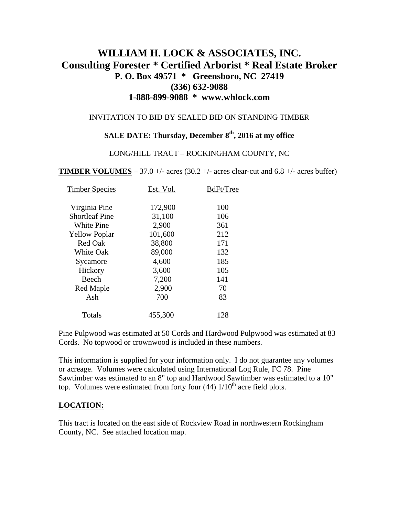# **WILLIAM H. LOCK & ASSOCIATES, INC. Consulting Forester \* Certified Arborist \* Real Estate Broker P. O. Box 49571 \* Greensboro, NC 27419 (336) 632-9088 1-888-899-9088 \* www.whlock.com**

#### INVITATION TO BID BY SEALED BID ON STANDING TIMBER

# **SALE DATE: Thursday, December 8th, 2016 at my office**

#### LONG/HILL TRACT – ROCKINGHAM COUNTY, NC

**TIMBER VOLUMES** – 37.0 +/- acres (30.2 +/- acres clear-cut and 6.8 +/- acres buffer)

| <b>Timber Species</b> | Est. Vol. | BdFt/Tree |
|-----------------------|-----------|-----------|
| Virginia Pine         | 172,900   | 100       |
| <b>Shortleaf Pine</b> | 31,100    | 106       |
| <b>White Pine</b>     | 2,900     | 361       |
| <b>Yellow Poplar</b>  | 101,600   | 212       |
| <b>Red Oak</b>        | 38,800    | 171       |
| <b>White Oak</b>      | 89,000    | 132       |
| Sycamore              | 4,600     | 185       |
| Hickory               | 3,600     | 105       |
| Beech                 | 7,200     | 141       |
| Red Maple             | 2,900     | 70        |
| Ash                   | 700       | 83        |
| Totals                | 455,300   | 128       |

Pine Pulpwood was estimated at 50 Cords and Hardwood Pulpwood was estimated at 83 Cords. No topwood or crownwood is included in these numbers.

This information is supplied for your information only. I do not guarantee any volumes or acreage. Volumes were calculated using International Log Rule, FC 78. Pine Sawtimber was estimated to an 8" top and Hardwood Sawtimber was estimated to a 10" top. Volumes were estimated from forty four  $(44)$  1/10<sup>th</sup> acre field plots.

#### **LOCATION:**

This tract is located on the east side of Rockview Road in northwestern Rockingham County, NC. See attached location map.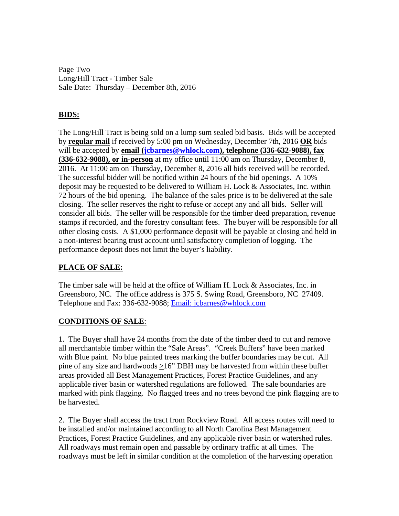Page Two Long/Hill Tract - Timber Sale Sale Date: Thursday – December 8th, 2016

# **BIDS:**

The Long/Hill Tract is being sold on a lump sum sealed bid basis. Bids will be accepted by **regular mail** if received by 5:00 pm on Wednesday, December 7th, 2016 **OR** bids will be accepted by **email [\(jcbarnes@whlock.com](mailto:jcbarnes@whlock.com)), telephone (336-632-9088), fax (336-632-9088), or in-person** at my office until 11:00 am on Thursday, December 8, 2016. At 11:00 am on Thursday, December 8, 2016 all bids received will be recorded. The successful bidder will be notified within 24 hours of the bid openings. A 10% deposit may be requested to be delivered to William H. Lock & Associates, Inc. within 72 hours of the bid opening. The balance of the sales price is to be delivered at the sale closing. The seller reserves the right to refuse or accept any and all bids. Seller will consider all bids. The seller will be responsible for the timber deed preparation, revenue stamps if recorded, and the forestry consultant fees. The buyer will be responsible for all other closing costs. A \$1,000 performance deposit will be payable at closing and held in a non-interest bearing trust account until satisfactory completion of logging. The performance deposit does not limit the buyer's liability.

## **PLACE OF SALE:**

The timber sale will be held at the office of William H. Lock & Associates, Inc. in Greensboro, NC. The office address is 375 S. Swing Road, Greensboro, NC 27409. Telephone and Fax: 336-632-9088; Email: jcbarnes@whlock.com

## **CONDITIONS OF SALE**:

1. The Buyer shall have 24 months from the date of the timber deed to cut and remove all merchantable timber within the "Sale Areas". "Creek Buffers" have been marked with Blue paint. No blue painted trees marking the buffer boundaries may be cut. All pine of any size and hardwoods >16" DBH may be harvested from within these buffer areas provided all Best Management Practices, Forest Practice Guidelines, and any applicable river basin or watershed regulations are followed. The sale boundaries are marked with pink flagging. No flagged trees and no trees beyond the pink flagging are to be harvested.

2. The Buyer shall access the tract from Rockview Road. All access routes will need to be installed and/or maintained according to all North Carolina Best Management Practices, Forest Practice Guidelines, and any applicable river basin or watershed rules. All roadways must remain open and passable by ordinary traffic at all times. The roadways must be left in similar condition at the completion of the harvesting operation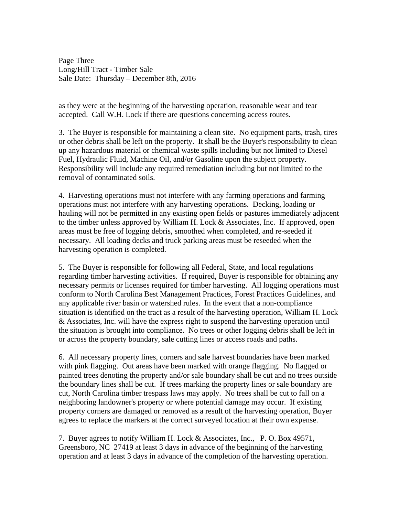Page Three Long/Hill Tract - Timber Sale Sale Date: Thursday – December 8th, 2016

as they were at the beginning of the harvesting operation, reasonable wear and tear accepted. Call W.H. Lock if there are questions concerning access routes.

3. The Buyer is responsible for maintaining a clean site. No equipment parts, trash, tires or other debris shall be left on the property. It shall be the Buyer's responsibility to clean up any hazardous material or chemical waste spills including but not limited to Diesel Fuel, Hydraulic Fluid, Machine Oil, and/or Gasoline upon the subject property. Responsibility will include any required remediation including but not limited to the removal of contaminated soils.

4. Harvesting operations must not interfere with any farming operations and farming operations must not interfere with any harvesting operations. Decking, loading or hauling will not be permitted in any existing open fields or pastures immediately adjacent to the timber unless approved by William H. Lock  $&$  Associates, Inc. If approved, open areas must be free of logging debris, smoothed when completed, and re-seeded if necessary. All loading decks and truck parking areas must be reseeded when the harvesting operation is completed.

5. The Buyer is responsible for following all Federal, State, and local regulations regarding timber harvesting activities. If required, Buyer is responsible for obtaining any necessary permits or licenses required for timber harvesting. All logging operations must conform to North Carolina Best Management Practices, Forest Practices Guidelines, and any applicable river basin or watershed rules. In the event that a non-compliance situation is identified on the tract as a result of the harvesting operation, William H. Lock & Associates, Inc. will have the express right to suspend the harvesting operation until the situation is brought into compliance. No trees or other logging debris shall be left in or across the property boundary, sale cutting lines or access roads and paths.

6. All necessary property lines, corners and sale harvest boundaries have been marked with pink flagging. Out areas have been marked with orange flagging. No flagged or painted trees denoting the property and/or sale boundary shall be cut and no trees outside the boundary lines shall be cut. If trees marking the property lines or sale boundary are cut, North Carolina timber trespass laws may apply. No trees shall be cut to fall on a neighboring landowner's property or where potential damage may occur. If existing property corners are damaged or removed as a result of the harvesting operation, Buyer agrees to replace the markers at the correct surveyed location at their own expense.

7. Buyer agrees to notify William H. Lock & Associates, Inc., P. O. Box 49571, Greensboro, NC 27419 at least 3 days in advance of the beginning of the harvesting operation and at least 3 days in advance of the completion of the harvesting operation.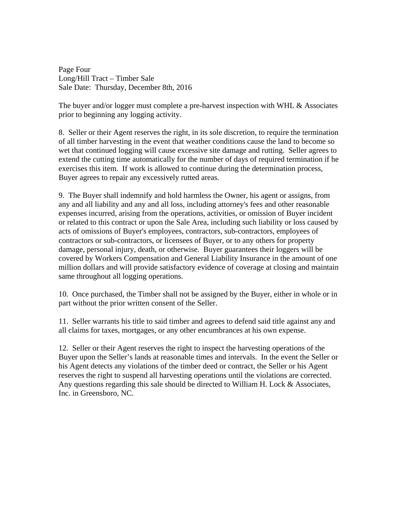Page Four Long/Hill Tract – Timber Sale Sale Date: Thursday, December 8th, 2016

The buyer and/or logger must complete a pre-harvest inspection with WHL & Associates prior to beginning any logging activity.

8. Seller or their Agent reserves the right, in its sole discretion, to require the termination of all timber harvesting in the event that weather conditions cause the land to become so wet that continued logging will cause excessive site damage and rutting. Seller agrees to extend the cutting time automatically for the number of days of required termination if he exercises this item. If work is allowed to continue during the determination process, Buyer agrees to repair any excessively rutted areas.

9. The Buyer shall indemnify and hold harmless the Owner, his agent or assigns, from any and all liability and any and all loss, including attorney's fees and other reasonable expenses incurred, arising from the operations, activities, or omission of Buyer incident or related to this contract or upon the Sale Area, including such liability or loss caused by acts of omissions of Buyer's employees, contractors, sub-contractors, employees of contractors or sub-contractors, or licensees of Buyer, or to any others for property damage, personal injury, death, or otherwise. Buyer guarantees their loggers will be covered by Workers Compensation and General Liability Insurance in the amount of one million dollars and will provide satisfactory evidence of coverage at closing and maintain same throughout all logging operations.

10. Once purchased, the Timber shall not be assigned by the Buyer, either in whole or in part without the prior written consent of the Seller.

11. Seller warrants his title to said timber and agrees to defend said title against any and all claims for taxes, mortgages, or any other encumbrances at his own expense.

12. Seller or their Agent reserves the right to inspect the harvesting operations of the Buyer upon the Seller's lands at reasonable times and intervals. In the event the Seller or his Agent detects any violations of the timber deed or contract, the Seller or his Agent reserves the right to suspend all harvesting operations until the violations are corrected. Any questions regarding this sale should be directed to William H. Lock  $&$  Associates, Inc. in Greensboro, NC.